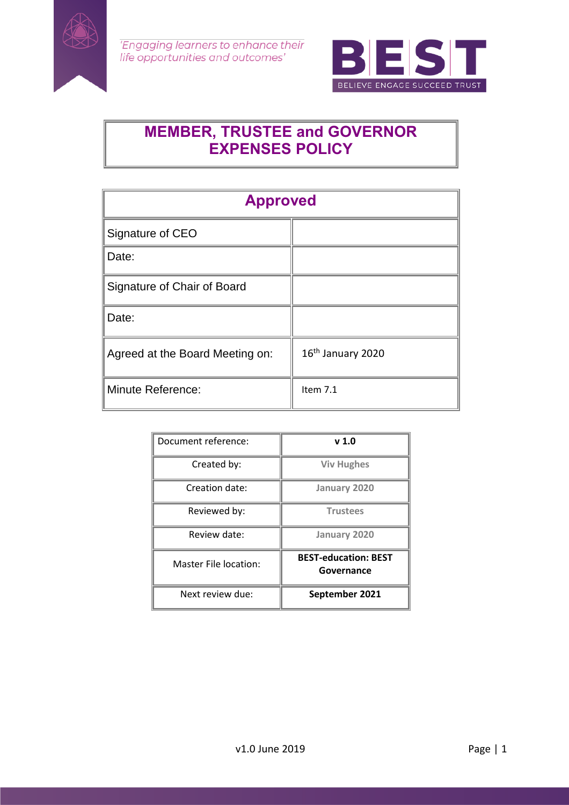



# **MEMBER, TRUSTEE and GOVERNOR EXPENSES POLICY**

| <b>Approved</b>                 |                   |
|---------------------------------|-------------------|
| Signature of CEO                |                   |
| Date:                           |                   |
| Signature of Chair of Board     |                   |
| Date:                           |                   |
| Agreed at the Board Meeting on: | 16th January 2020 |
| <b>Minute Reference:</b>        | Item $7.1$        |

| Document reference:   | v <sub>1.0</sub>                          |
|-----------------------|-------------------------------------------|
| Created by:           | <b>Viv Hughes</b>                         |
| Creation date:        | January 2020                              |
| Reviewed by:          | <b>Trustees</b>                           |
| Review date:          | January 2020                              |
| Master File location: | <b>BEST-education: BEST</b><br>Governance |
| Next review due:      | September 2021                            |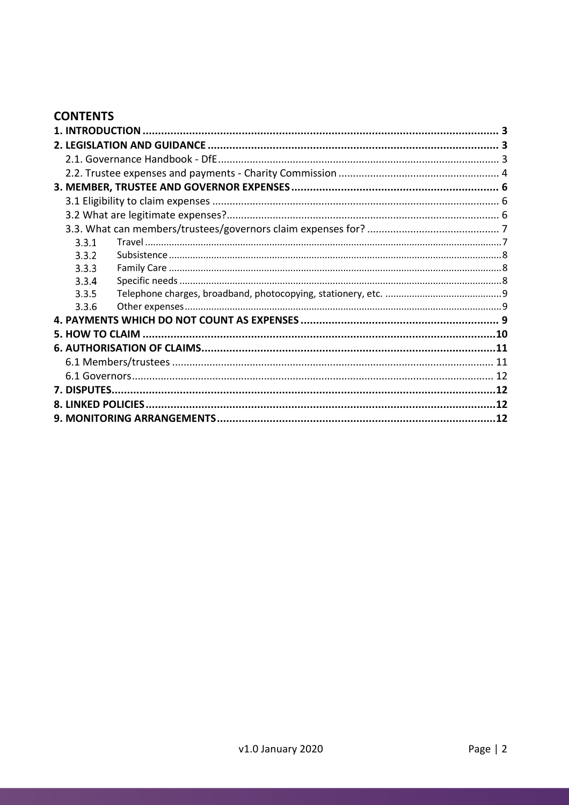## **CONTENTS**

| 3.3.1 |  |
|-------|--|
| 3.3.2 |  |
| 3.3.3 |  |
| 3.3.4 |  |
| 3.3.5 |  |
| 3.3.6 |  |
|       |  |
|       |  |
|       |  |
|       |  |
|       |  |
|       |  |
|       |  |
|       |  |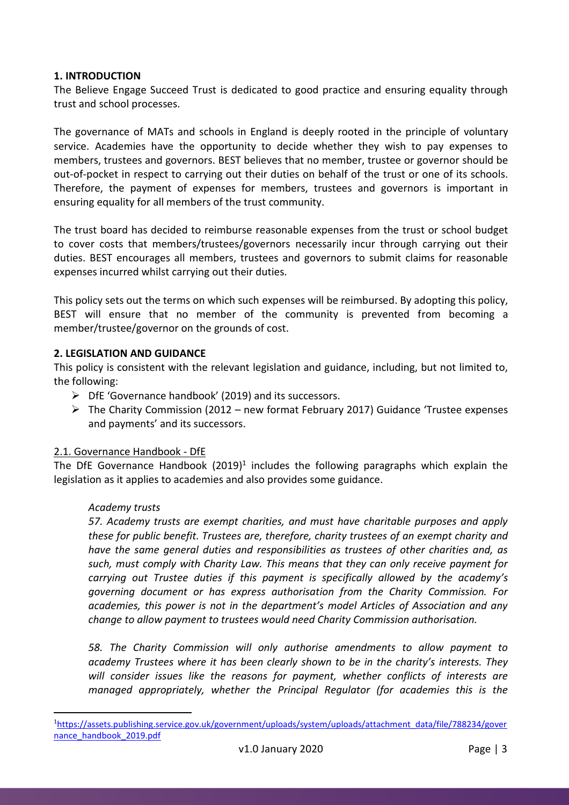## <span id="page-2-0"></span>**1. INTRODUCTION**

The Believe Engage Succeed Trust is dedicated to good practice and ensuring equality through trust and school processes.

The governance of MATs and schools in England is deeply rooted in the principle of voluntary service. Academies have the opportunity to decide whether they wish to pay expenses to members, trustees and governors. BEST believes that no member, trustee or governor should be out-of-pocket in respect to carrying out their duties on behalf of the trust or one of its schools. Therefore, the payment of expenses for members, trustees and governors is important in ensuring equality for all members of the trust community.

The trust board has decided to reimburse reasonable expenses from the trust or school budget to cover costs that members/trustees/governors necessarily incur through carrying out their duties. BEST encourages all members, trustees and governors to submit claims for reasonable expenses incurred whilst carrying out their duties.

This policy sets out the terms on which such expenses will be reimbursed. By adopting this policy, BEST will ensure that no member of the community is prevented from becoming a member/trustee/governor on the grounds of cost.

## <span id="page-2-1"></span>**2. LEGISLATION AND GUIDANCE**

This policy is consistent with the relevant legislation and guidance, including, but not limited to, the following:

- $\triangleright$  DfE 'Governance handbook' (2019) and its successors.
- $\triangleright$  The Charity Commission (2012 new format February 2017) Guidance 'Trustee expenses and payments' and its successors.

## <span id="page-2-2"></span>2.1. Governance Handbook - DfE

The DfE Governance Handbook (2019)<sup>1</sup> includes the following paragraphs which explain the legislation as it applies to academies and also provides some guidance.

## *Academy trusts*

*57. Academy trusts are exempt charities, and must have charitable purposes and apply these for public benefit. Trustees are, therefore, charity trustees of an exempt charity and have the same general duties and responsibilities as trustees of other charities and, as such, must comply with Charity Law. This means that they can only receive payment for carrying out Trustee duties if this payment is specifically allowed by the academy's governing document or has express authorisation from the Charity Commission. For academies, this power is not in the department's model Articles of Association and any change to allow payment to trustees would need Charity Commission authorisation.*

*58. The Charity Commission will only authorise amendments to allow payment to academy Trustees where it has been clearly shown to be in the charity's interests. They will consider issues like the reasons for payment, whether conflicts of interests are managed appropriately, whether the Principal Regulator (for academies this is the* 

 $\overline{a}$ <sup>1</sup>[https://assets.publishing.service.gov.uk/government/uploads/system/uploads/attachment\\_data/file/788234/gover](https://assets.publishing.service.gov.uk/government/uploads/system/uploads/attachment_data/file/788234/governance_handbook_2019.pdf) [nance\\_handbook\\_2019.pdf](https://assets.publishing.service.gov.uk/government/uploads/system/uploads/attachment_data/file/788234/governance_handbook_2019.pdf)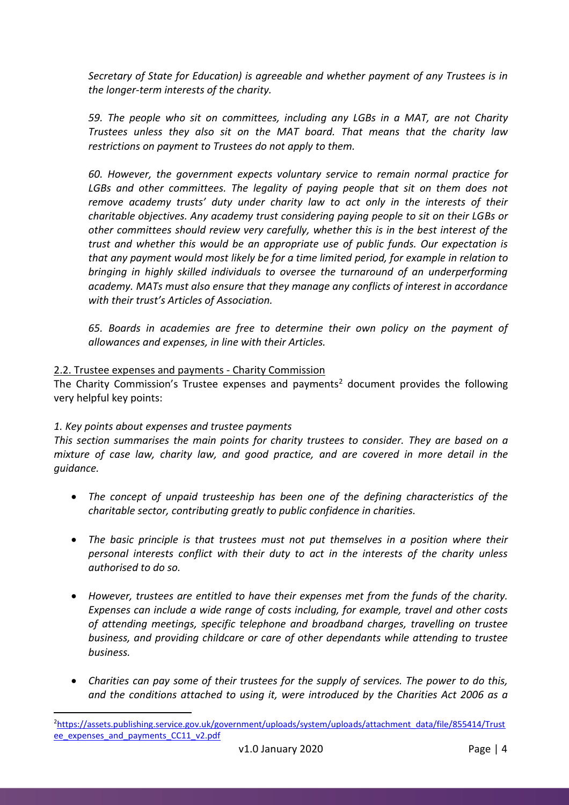*Secretary of State for Education) is agreeable and whether payment of any Trustees is in the longer-term interests of the charity.*

*59. The people who sit on committees, including any LGBs in a MAT, are not Charity Trustees unless they also sit on the MAT board. That means that the charity law restrictions on payment to Trustees do not apply to them.*

*60. However, the government expects voluntary service to remain normal practice for*  LGBs and other committees. The legality of paying people that sit on them does not *remove academy trusts' duty under charity law to act only in the interests of their charitable objectives. Any academy trust considering paying people to sit on their LGBs or other committees should review very carefully, whether this is in the best interest of the trust and whether this would be an appropriate use of public funds. Our expectation is that any payment would most likely be for a time limited period, for example in relation to bringing in highly skilled individuals to oversee the turnaround of an underperforming academy. MATs must also ensure that they manage any conflicts of interest in accordance with their trust's Articles of Association.*

*65. Boards in academies are free to determine their own policy on the payment of allowances and expenses, in line with their Articles.*

## <span id="page-3-0"></span>2.2. Trustee expenses and payments - Charity Commission

The Charity Commission's Trustee expenses and payments<sup>2</sup> document provides the following very helpful key points:

## *1. Key points about expenses and trustee payments*

 $\overline{a}$ 

*This section summarises the main points for charity trustees to consider. They are based on a mixture of case law, charity law, and good practice, and are covered in more detail in the guidance.*

- *The concept of unpaid trusteeship has been one of the defining characteristics of the charitable sector, contributing greatly to public confidence in charities.*
- *The basic principle is that trustees must not put themselves in a position where their personal interests conflict with their duty to act in the interests of the charity unless authorised to do so.*
- *However, trustees are entitled to have their expenses met from the funds of the charity. Expenses can include a wide range of costs including, for example, travel and other costs of attending meetings, specific telephone and broadband charges, travelling on trustee business, and providing childcare or care of other dependants while attending to trustee business.*
- *Charities can pay some of their trustees for the supply of services. The power to do this, and the conditions attached to using it, were introduced by the Charities Act 2006 as a*

<sup>2</sup>[https://assets.publishing.service.gov.uk/government/uploads/system/uploads/attachment\\_data/file/855414/Trust](https://assets.publishing.service.gov.uk/government/uploads/system/uploads/attachment_data/file/855414/Trustee_expenses_and_payments_CC11_v2.pdf) [ee\\_expenses\\_and\\_payments\\_CC11\\_v2.pdf](https://assets.publishing.service.gov.uk/government/uploads/system/uploads/attachment_data/file/855414/Trustee_expenses_and_payments_CC11_v2.pdf)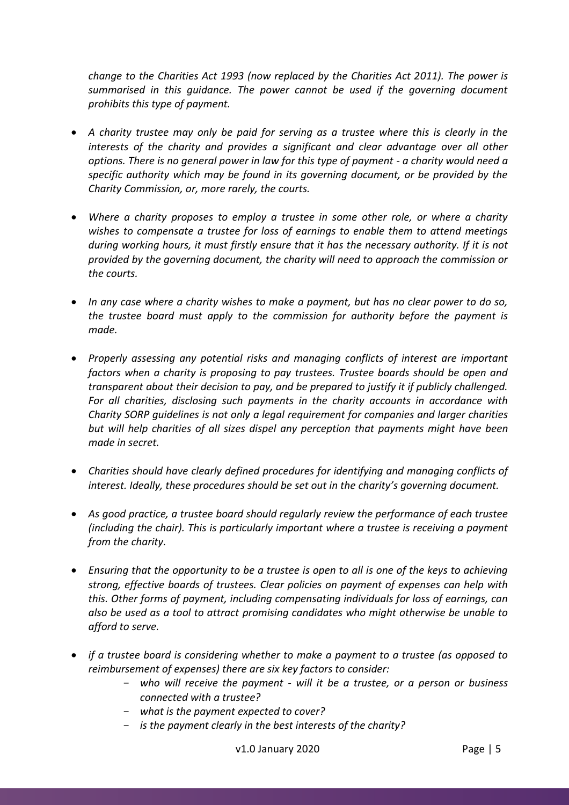*change to the Charities Act 1993 (now replaced by the Charities Act 2011). The power is summarised in this guidance. The power cannot be used if the governing document prohibits this type of payment.*

- *A charity trustee may only be paid for serving as a trustee where this is clearly in the interests of the charity and provides a significant and clear advantage over all other options. There is no general power in law for this type of payment - a charity would need a specific authority which may be found in its governing document, or be provided by the Charity Commission, or, more rarely, the courts.*
- *Where a charity proposes to employ a trustee in some other role, or where a charity wishes to compensate a trustee for loss of earnings to enable them to attend meetings during working hours, it must firstly ensure that it has the necessary authority. If it is not provided by the governing document, the charity will need to approach the commission or the courts.*
- *In any case where a charity wishes to make a payment, but has no clear power to do so, the trustee board must apply to the commission for authority before the payment is made.*
- *Properly assessing any potential risks and managing conflicts of interest are important factors when a charity is proposing to pay trustees. Trustee boards should be open and transparent about their decision to pay, and be prepared to justify it if publicly challenged. For all charities, disclosing such payments in the charity accounts in accordance with Charity SORP guidelines is not only a legal requirement for companies and larger charities but will help charities of all sizes dispel any perception that payments might have been made in secret.*
- *Charities should have clearly defined procedures for identifying and managing conflicts of interest. Ideally, these procedures should be set out in the charity's governing document.*
- *As good practice, a trustee board should regularly review the performance of each trustee (including the chair). This is particularly important where a trustee is receiving a payment from the charity.*
- *Ensuring that the opportunity to be a trustee is open to all is one of the keys to achieving strong, effective boards of trustees. Clear policies on payment of expenses can help with this. Other forms of payment, including compensating individuals for loss of earnings, can also be used as a tool to attract promising candidates who might otherwise be unable to afford to serve.*
- *if a trustee board is considering whether to make a payment to a trustee (as opposed to reimbursement of expenses) there are six key factors to consider:*
	- *who will receive the payment - will it be a trustee, or a person or business connected with a trustee?*
	- *what is the payment expected to cover?*
	- *is the payment clearly in the best interests of the charity?*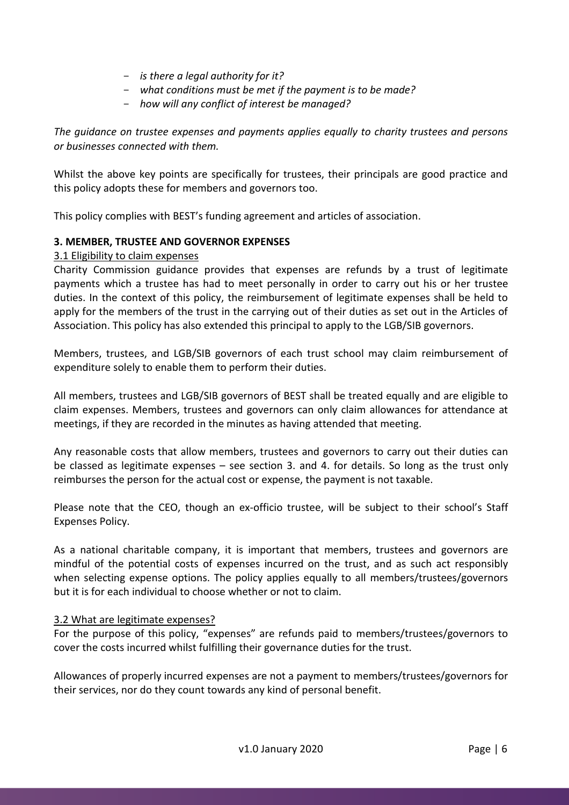- *is there a legal authority for it?*
- *what conditions must be met if the payment is to be made?*
- *how will any conflict of interest be managed?*

*The guidance on trustee expenses and payments applies equally to charity trustees and persons or businesses connected with them.*

Whilst the above key points are specifically for trustees, their principals are good practice and this policy adopts these for members and governors too.

This policy complies with BEST's funding agreement and articles of association.

## <span id="page-5-0"></span>**3. MEMBER, TRUSTEE AND GOVERNOR EXPENSES**

## <span id="page-5-1"></span>3.1 Eligibility to claim expenses

Charity Commission guidance provides that expenses are refunds by a trust of legitimate payments which a trustee has had to meet personally in order to carry out his or her trustee duties. In the context of this policy, the reimbursement of legitimate expenses shall be held to apply for the members of the trust in the carrying out of their duties as set out in the Articles of Association. This policy has also extended this principal to apply to the LGB/SIB governors.

Members, trustees, and LGB/SIB governors of each trust school may claim reimbursement of expenditure solely to enable them to perform their duties.

All members, trustees and LGB/SIB governors of BEST shall be treated equally and are eligible to claim expenses. Members, trustees and governors can only claim allowances for attendance at meetings, if they are recorded in the minutes as having attended that meeting.

Any reasonable costs that allow members, trustees and governors to carry out their duties can be classed as legitimate expenses – see section 3. and 4. for details. So long as the trust only reimburses the person for the actual cost or expense, the payment is not taxable.

Please note that the CEO, though an ex-officio trustee, will be subject to their school's Staff Expenses Policy.

As a national charitable company, it is important that members, trustees and governors are mindful of the potential costs of expenses incurred on the trust, and as such act responsibly when selecting expense options. The policy applies equally to all members/trustees/governors but it is for each individual to choose whether or not to claim.

## <span id="page-5-2"></span>3.2 What are legitimate expenses?

For the purpose of this policy, "expenses" are refunds paid to members/trustees/governors to cover the costs incurred whilst fulfilling their governance duties for the trust.

Allowances of properly incurred expenses are not a payment to members/trustees/governors for their services, nor do they count towards any kind of personal benefit.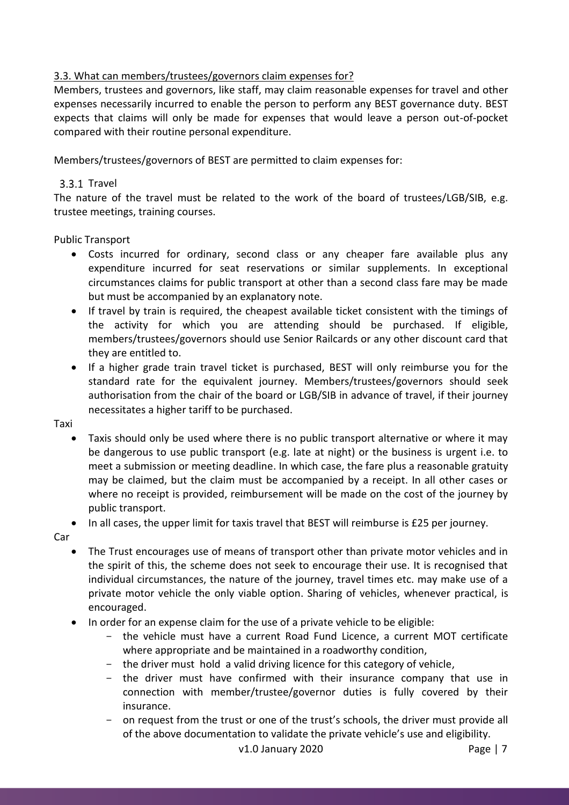## <span id="page-6-0"></span>3.3. What can members/trustees/governors claim expenses for?

Members, trustees and governors, like staff, may claim reasonable expenses for travel and other expenses necessarily incurred to enable the person to perform any BEST governance duty. BEST expects that claims will only be made for expenses that would leave a person out-of-pocket compared with their routine personal expenditure.

Members/trustees/governors of BEST are permitted to claim expenses for:

## <span id="page-6-1"></span>3.3.1 Travel

The nature of the travel must be related to the work of the board of trustees/LGB/SIB, e.g. trustee meetings, training courses.

## Public Transport

- Costs incurred for ordinary, second class or any cheaper fare available plus any expenditure incurred for seat reservations or similar supplements. In exceptional circumstances claims for public transport at other than a second class fare may be made but must be accompanied by an explanatory note.
- If travel by train is required, the cheapest available ticket consistent with the timings of the activity for which you are attending should be purchased. If eligible, members/trustees/governors should use Senior Railcards or any other discount card that they are entitled to.
- If a higher grade train travel ticket is purchased, BEST will only reimburse you for the standard rate for the equivalent journey. Members/trustees/governors should seek authorisation from the chair of the board or LGB/SIB in advance of travel, if their journey necessitates a higher tariff to be purchased.

Taxi

 Taxis should only be used where there is no public transport alternative or where it may be dangerous to use public transport (e.g. late at night) or the business is urgent i.e. to meet a submission or meeting deadline. In which case, the fare plus a reasonable gratuity may be claimed, but the claim must be accompanied by a receipt. In all other cases or where no receipt is provided, reimbursement will be made on the cost of the journey by public transport.

• In all cases, the upper limit for taxis travel that BEST will reimburse is £25 per journey.

Car

- The Trust encourages use of means of transport other than private motor vehicles and in the spirit of this, the scheme does not seek to encourage their use. It is recognised that individual circumstances, the nature of the journey, travel times etc. may make use of a private motor vehicle the only viable option. Sharing of vehicles, whenever practical, is encouraged.
- In order for an expense claim for the use of a private vehicle to be eligible:
	- the vehicle must have a current Road Fund Licence, a current MOT certificate where appropriate and be maintained in a roadworthy condition,
	- the driver must hold a valid driving licence for this category of vehicle,
	- the driver must have confirmed with their insurance company that use in connection with member/trustee/governor duties is fully covered by their insurance.
	- on request from the trust or one of the trust's schools, the driver must provide all of the above documentation to validate the private vehicle's use and eligibility.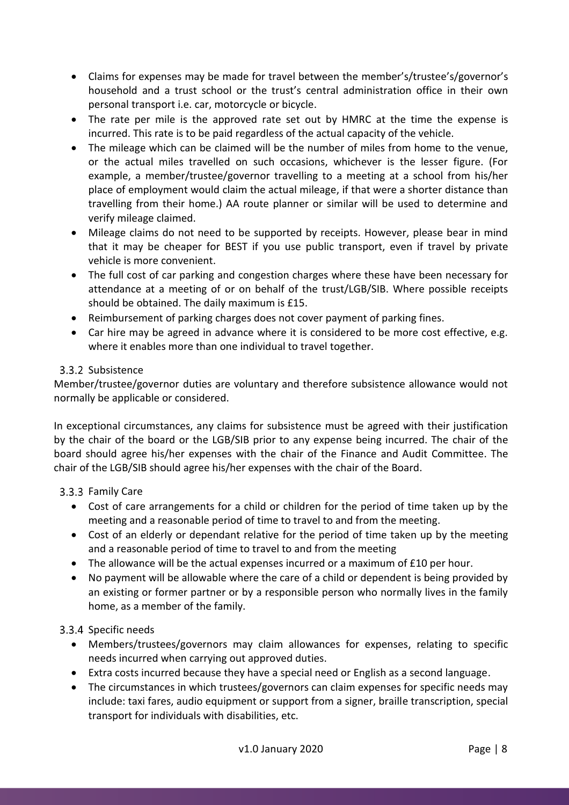- Claims for expenses may be made for travel between the member's/trustee's/governor's household and a trust school or the trust's central administration office in their own personal transport i.e. car, motorcycle or bicycle.
- The rate per mile is the approved rate set out by HMRC at the time the expense is incurred. This rate is to be paid regardless of the actual capacity of the vehicle.
- The mileage which can be claimed will be the number of miles from home to the venue, or the actual miles travelled on such occasions, whichever is the lesser figure. (For example, a member/trustee/governor travelling to a meeting at a school from his/her place of employment would claim the actual mileage, if that were a shorter distance than travelling from their home.) AA route planner or similar will be used to determine and verify mileage claimed.
- Mileage claims do not need to be supported by receipts. However, please bear in mind that it may be cheaper for BEST if you use public transport, even if travel by private vehicle is more convenient.
- The full cost of car parking and congestion charges where these have been necessary for attendance at a meeting of or on behalf of the trust/LGB/SIB. Where possible receipts should be obtained. The daily maximum is £15.
- Reimbursement of parking charges does not cover payment of parking fines.
- Car hire may be agreed in advance where it is considered to be more cost effective, e.g. where it enables more than one individual to travel together.

## <span id="page-7-0"></span>3.3.2 Subsistence

Member/trustee/governor duties are voluntary and therefore subsistence allowance would not normally be applicable or considered.

In exceptional circumstances, any claims for subsistence must be agreed with their justification by the chair of the board or the LGB/SIB prior to any expense being incurred. The chair of the board should agree his/her expenses with the chair of the Finance and Audit Committee. The chair of the LGB/SIB should agree his/her expenses with the chair of the Board.

## <span id="page-7-1"></span>3.3.3 Family Care

- Cost of care arrangements for a child or children for the period of time taken up by the meeting and a reasonable period of time to travel to and from the meeting.
- Cost of an elderly or dependant relative for the period of time taken up by the meeting and a reasonable period of time to travel to and from the meeting
- The allowance will be the actual expenses incurred or a maximum of £10 per hour.
- No payment will be allowable where the care of a child or dependent is being provided by an existing or former partner or by a responsible person who normally lives in the family home, as a member of the family.

## <span id="page-7-2"></span>3.3.4 Specific needs

- Members/trustees/governors may claim allowances for expenses, relating to specific needs incurred when carrying out approved duties.
- Extra costs incurred because they have a special need or English as a second language.
- The circumstances in which trustees/governors can claim expenses for specific needs may include: taxi fares, audio equipment or support from a signer, braille transcription, special transport for individuals with disabilities, etc.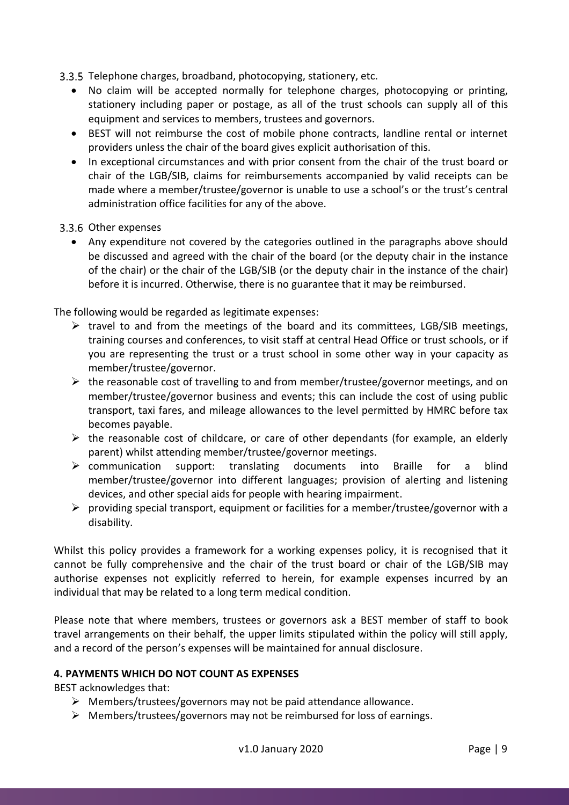<span id="page-8-0"></span>3.3.5 Telephone charges, broadband, photocopying, stationery, etc.

- No claim will be accepted normally for telephone charges, photocopying or printing, stationery including paper or postage, as all of the trust schools can supply all of this equipment and services to members, trustees and governors.
- BEST will not reimburse the cost of mobile phone contracts, landline rental or internet providers unless the chair of the board gives explicit authorisation of this.
- In exceptional circumstances and with prior consent from the chair of the trust board or chair of the LGB/SIB, claims for reimbursements accompanied by valid receipts can be made where a member/trustee/governor is unable to use a school's or the trust's central administration office facilities for any of the above.
- <span id="page-8-1"></span>3.3.6 Other expenses
	- Any expenditure not covered by the categories outlined in the paragraphs above should be discussed and agreed with the chair of the board (or the deputy chair in the instance of the chair) or the chair of the LGB/SIB (or the deputy chair in the instance of the chair) before it is incurred. Otherwise, there is no guarantee that it may be reimbursed.

## The following would be regarded as legitimate expenses:

- $\triangleright$  travel to and from the meetings of the board and its committees, LGB/SIB meetings, training courses and conferences, to visit staff at central Head Office or trust schools, or if you are representing the trust or a trust school in some other way in your capacity as member/trustee/governor.
- $\triangleright$  the reasonable cost of travelling to and from member/trustee/governor meetings, and on member/trustee/governor business and events; this can include the cost of using public transport, taxi fares, and mileage allowances to the level permitted by HMRC before tax becomes payable.
- $\triangleright$  the reasonable cost of childcare, or care of other dependants (for example, an elderly parent) whilst attending member/trustee/governor meetings.
- $\triangleright$  communication support: translating documents into Braille for a blind member/trustee/governor into different languages; provision of alerting and listening devices, and other special aids for people with hearing impairment.
- $\triangleright$  providing special transport, equipment or facilities for a member/trustee/governor with a disability.

Whilst this policy provides a framework for a working expenses policy, it is recognised that it cannot be fully comprehensive and the chair of the trust board or chair of the LGB/SIB may authorise expenses not explicitly referred to herein, for example expenses incurred by an individual that may be related to a long term medical condition.

Please note that where members, trustees or governors ask a BEST member of staff to book travel arrangements on their behalf, the upper limits stipulated within the policy will still apply, and a record of the person's expenses will be maintained for annual disclosure.

## <span id="page-8-2"></span>**4. PAYMENTS WHICH DO NOT COUNT AS EXPENSES**

BEST acknowledges that:

- $\triangleright$  Members/trustees/governors may not be paid attendance allowance.
- $\triangleright$  Members/trustees/governors may not be reimbursed for loss of earnings.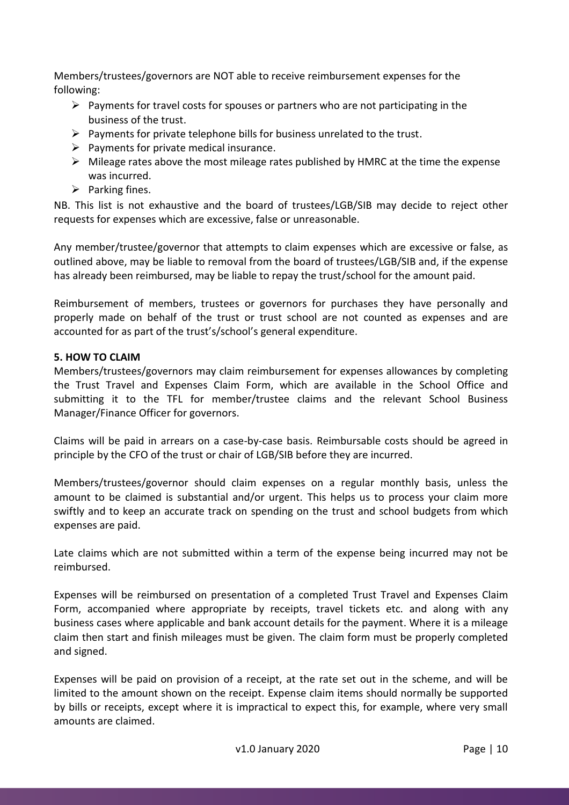Members/trustees/governors are NOT able to receive reimbursement expenses for the following:

- $\triangleright$  Payments for travel costs for spouses or partners who are not participating in the business of the trust.
- $\triangleright$  Payments for private telephone bills for business unrelated to the trust.
- $\triangleright$  Payments for private medical insurance.
- $\triangleright$  Mileage rates above the most mileage rates published by HMRC at the time the expense was incurred.
- $\triangleright$  Parking fines.

NB. This list is not exhaustive and the board of trustees/LGB/SIB may decide to reject other requests for expenses which are excessive, false or unreasonable.

Any member/trustee/governor that attempts to claim expenses which are excessive or false, as outlined above, may be liable to removal from the board of trustees/LGB/SIB and, if the expense has already been reimbursed, may be liable to repay the trust/school for the amount paid.

Reimbursement of members, trustees or governors for purchases they have personally and properly made on behalf of the trust or trust school are not counted as expenses and are accounted for as part of the trust's/school's general expenditure.

## <span id="page-9-0"></span>**5. HOW TO CLAIM**

Members/trustees/governors may claim reimbursement for expenses allowances by completing the Trust Travel and Expenses Claim Form, which are available in the School Office and submitting it to the TFL for member/trustee claims and the relevant School Business Manager/Finance Officer for governors.

Claims will be paid in arrears on a case-by-case basis. Reimbursable costs should be agreed in principle by the CFO of the trust or chair of LGB/SIB before they are incurred.

Members/trustees/governor should claim expenses on a regular monthly basis, unless the amount to be claimed is substantial and/or urgent. This helps us to process your claim more swiftly and to keep an accurate track on spending on the trust and school budgets from which expenses are paid.

Late claims which are not submitted within a term of the expense being incurred may not be reimbursed.

Expenses will be reimbursed on presentation of a completed Trust Travel and Expenses Claim Form, accompanied where appropriate by receipts, travel tickets etc. and along with any business cases where applicable and bank account details for the payment. Where it is a mileage claim then start and finish mileages must be given. The claim form must be properly completed and signed.

Expenses will be paid on provision of a receipt, at the rate set out in the scheme, and will be limited to the amount shown on the receipt. Expense claim items should normally be supported by bills or receipts, except where it is impractical to expect this, for example, where very small amounts are claimed.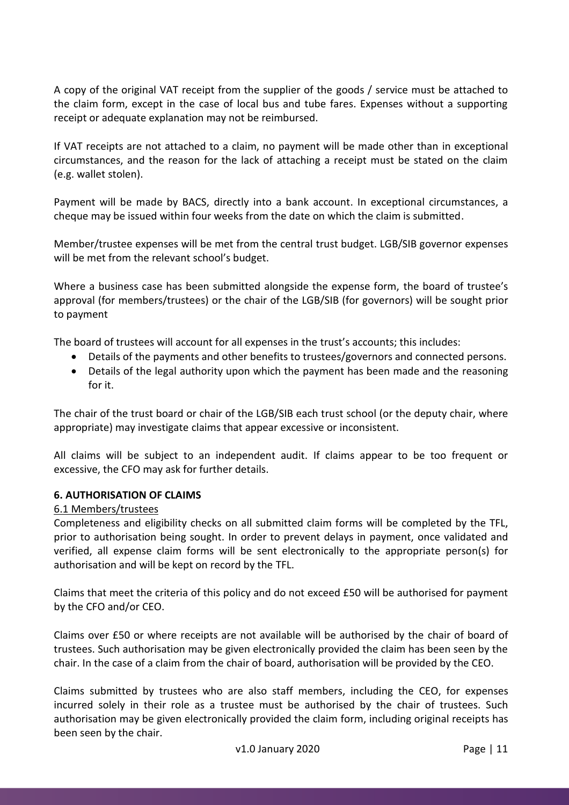A copy of the original VAT receipt from the supplier of the goods / service must be attached to the claim form, except in the case of local bus and tube fares. Expenses without a supporting receipt or adequate explanation may not be reimbursed.

If VAT receipts are not attached to a claim, no payment will be made other than in exceptional circumstances, and the reason for the lack of attaching a receipt must be stated on the claim (e.g. wallet stolen).

Payment will be made by BACS, directly into a bank account. In exceptional circumstances, a cheque may be issued within four weeks from the date on which the claim is submitted.

Member/trustee expenses will be met from the central trust budget. LGB/SIB governor expenses will be met from the relevant school's budget.

Where a business case has been submitted alongside the expense form, the board of trustee's approval (for members/trustees) or the chair of the LGB/SIB (for governors) will be sought prior to payment

The board of trustees will account for all expenses in the trust's accounts; this includes:

- Details of the payments and other benefits to trustees/governors and connected persons.
- Details of the legal authority upon which the payment has been made and the reasoning for it.

The chair of the trust board or chair of the LGB/SIB each trust school (or the deputy chair, where appropriate) may investigate claims that appear excessive or inconsistent.

All claims will be subject to an independent audit. If claims appear to be too frequent or excessive, the CFO may ask for further details.

## <span id="page-10-0"></span>**6. AUTHORISATION OF CLAIMS**

## <span id="page-10-1"></span>6.1 Members/trustees

Completeness and eligibility checks on all submitted claim forms will be completed by the TFL, prior to authorisation being sought. In order to prevent delays in payment, once validated and verified, all expense claim forms will be sent electronically to the appropriate person(s) for authorisation and will be kept on record by the TFL.

Claims that meet the criteria of this policy and do not exceed £50 will be authorised for payment by the CFO and/or CEO.

Claims over £50 or where receipts are not available will be authorised by the chair of board of trustees. Such authorisation may be given electronically provided the claim has been seen by the chair. In the case of a claim from the chair of board, authorisation will be provided by the CEO.

Claims submitted by trustees who are also staff members, including the CEO, for expenses incurred solely in their role as a trustee must be authorised by the chair of trustees. Such authorisation may be given electronically provided the claim form, including original receipts has been seen by the chair.